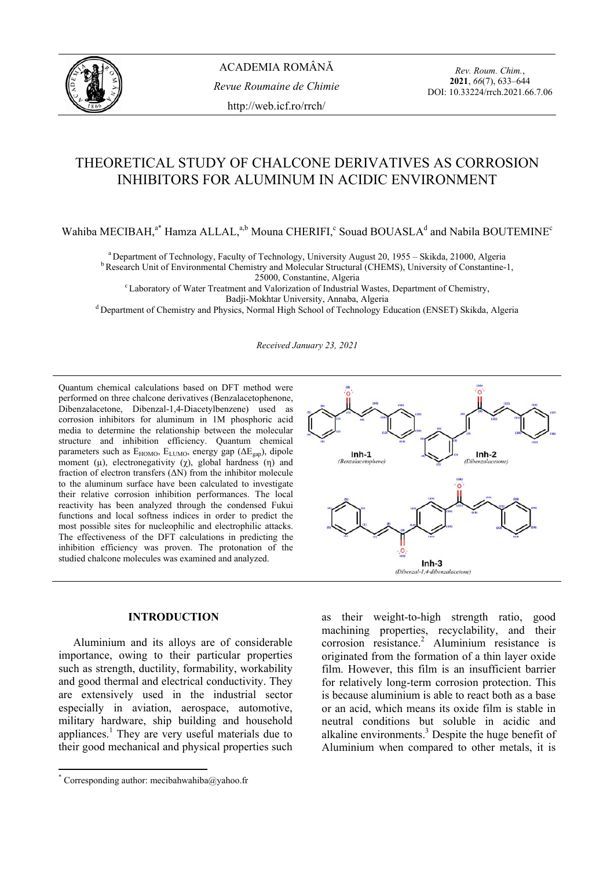

*Rev. Roum. Chim.*, **2021**, *66*(7), 633–644 DOI: 10.33224/rrch.2021.66.7.06

## THEORETICAL STUDY OF CHALCONE DERIVATIVES AS CORROSION INHIBITORS FOR ALUMINUM IN ACIDIC ENVIRONMENT

Wahiba MECIBAH,<sup>a\*</sup> Hamza ALLAL,<sup>a,b</sup> Mouna CHERIFI,<sup>c</sup> Souad BOUASLA<sup>d</sup> and Nabila BOUTEMINE<sup>c</sup>

<sup>a</sup> Department of Technology, Faculty of Technology, University August 20, 1955 – Skikda, 21000, Algeria b Research Unit of Environmental Chemistry and Molecular Structural (CHEMS), University of Constantine-1,

<sup>c</sup> Laboratory of Water Treatment and Valorization of Industrial Wastes, Department of Chemistry,<br>Badji-Mokhtar University, Annaba, Algeria

<sup>d</sup> Department of Chemistry and Physics, Normal High School of Technology Education (ENSET) Skikda, Algeria

*Received January 23, 2021* 

Quantum chemical calculations based on DFT method were performed on three chalcone derivatives (Benzalacetophenone, Dibenzalacetone, Dibenzal-1,4-Diacetylbenzene) used as corrosion inhibitors for aluminum in 1M phosphoric acid media to determine the relationship between the molecular structure and inhibition efficiency. Quantum chemical parameters such as  $E_{HOMO}$ ,  $E_{LUMO}$ , energy gap ( $\Delta E_{\text{gap}}$ ), dipole moment ( $\mu$ ), electronegativity ( $\chi$ ), global hardness (η) and fraction of electron transfers  $(ΔN)$  from the inhibitor molecule to the aluminum surface have been calculated to investigate their relative corrosion inhibition performances. The local reactivity has been analyzed through the condensed Fukui functions and local softness indices in order to predict the most possible sites for nucleophilic and electrophilic attacks. The effectiveness of the DFT calculations in predicting the inhibition efficiency was proven. The protonation of the studied chalcone molecules was examined and analyzed.

# $Inh-1$  $Inh-2$  $\circ$  $Inh-3$ (Dibenzal-1,4-dibenzalacetone)

### **INTRODUCTION\***

Aluminium and its alloys are of considerable importance, owing to their particular properties such as strength, ductility, formability, workability and good thermal and electrical conductivity. They are extensively used in the industrial sector especially in aviation, aerospace, automotive, military hardware, ship building and household appliances.<sup>1</sup> They are very useful materials due to their good mechanical and physical properties such

as their weight-to-high strength ratio, good machining properties, recyclability, and their corrosion resistance.<sup>2</sup> Aluminium resistance is originated from the formation of a thin layer oxide film. However, this film is an insufficient barrier for relatively long-term corrosion protection. This is because aluminium is able to react both as a base or an acid, which means its oxide film is stable in neutral conditions but soluble in acidic and alkaline environments.<sup>3</sup> Despite the huge benefit of Aluminium when compared to other metals, it is

 \* Corresponding author: mecibahwahiba@yahoo.fr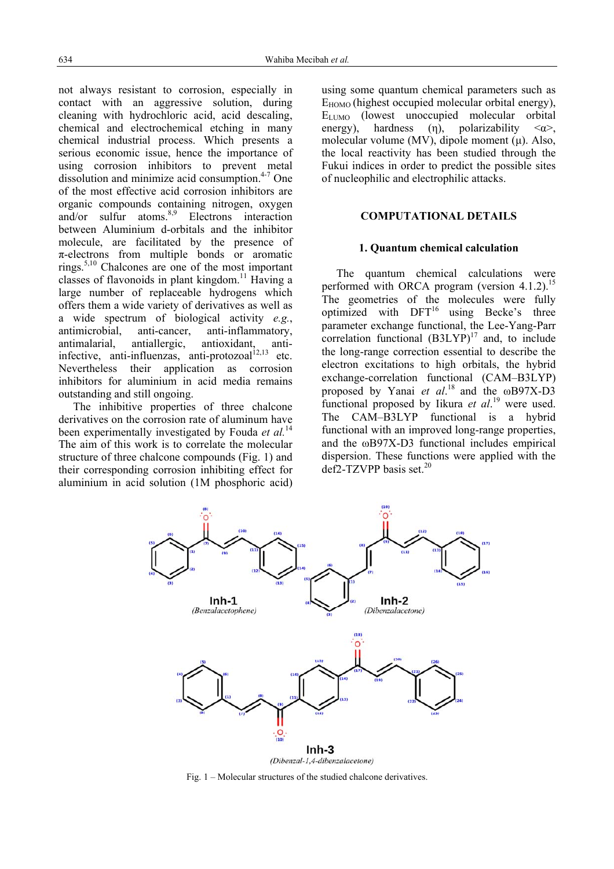not always resistant to corrosion, especially in contact with an aggressive solution, during cleaning with hydrochloric acid, acid descaling, chemical and electrochemical etching in many chemical industrial process. Which presents a serious economic issue, hence the importance of using corrosion inhibitors to prevent metal dissolution and minimize acid consumption.<sup>4-7</sup> One of the most effective acid corrosion inhibitors are organic compounds containing nitrogen, oxygen and/or sulfur atoms. $8.9$  Electrons interaction between Aluminium d-orbitals and the inhibitor molecule, are facilitated by the presence of  $\pi$ -electrons from multiple bonds or aromatic rings.<sup>5,10</sup> Chalcones are one of the most important classes of flavonoids in plant kingdom.<sup>11</sup> Having a large number of replaceable hydrogens which offers them a wide variety of derivatives as well as a wide spectrum of biological activity *e.g.*, antimicrobial, anti-cancer, anti-inflammatory, antimalarial, antiallergic, antioxidant, antiinfective, anti-influenzas, anti-protozoal $^{12,13}$  etc. Nevertheless their application as corrosion inhibitors for aluminium in acid media remains outstanding and still ongoing.

The inhibitive properties of three chalcone derivatives on the corrosion rate of aluminum have been experimentally investigated by Fouda *et al.*<sup>14</sup> The aim of this work is to correlate the molecular structure of three chalcone compounds (Fig. 1) and their corresponding corrosion inhibiting effect for aluminium in acid solution (1M phosphoric acid) using some quantum chemical parameters such as  $E_{HOMO}$  (highest occupied molecular orbital energy), ELUMO (lowest unoccupied molecular orbital energy), hardness (η), polarizability  $\langle \alpha \rangle$ , molecular volume (MV), dipole moment (μ). Also, the local reactivity has been studied through the Fukui indices in order to predict the possible sites of nucleophilic and electrophilic attacks.

#### **COMPUTATIONAL DETAILS**

#### **1. Quantum chemical calculation**

The quantum chemical calculations were performed with ORCA program (version  $4.1.2$ ).<sup>15</sup> The geometries of the molecules were fully optimized with  $DFT^{16}$  using Becke's three parameter exchange functional, the Lee-Yang-Parr correlation functional  $(B3LYP)^{17}$  and, to include the long-range correction essential to describe the electron excitations to high orbitals, the hybrid exchange-correlation functional (CAM–B3LYP) proposed by Yanai *et al*. <sup>18</sup> and the ωB97X-D3 functional proposed by Iikura *et al*. 19 were used. The CAM–B3LYP functional is a hybrid functional with an improved long-range properties, and the ωB97X-D3 functional includes empirical dispersion. These functions were applied with the  $def2-TZVPP$  basis set.<sup>20</sup>



Fig. 1 – Molecular structures of the studied chalcone derivatives.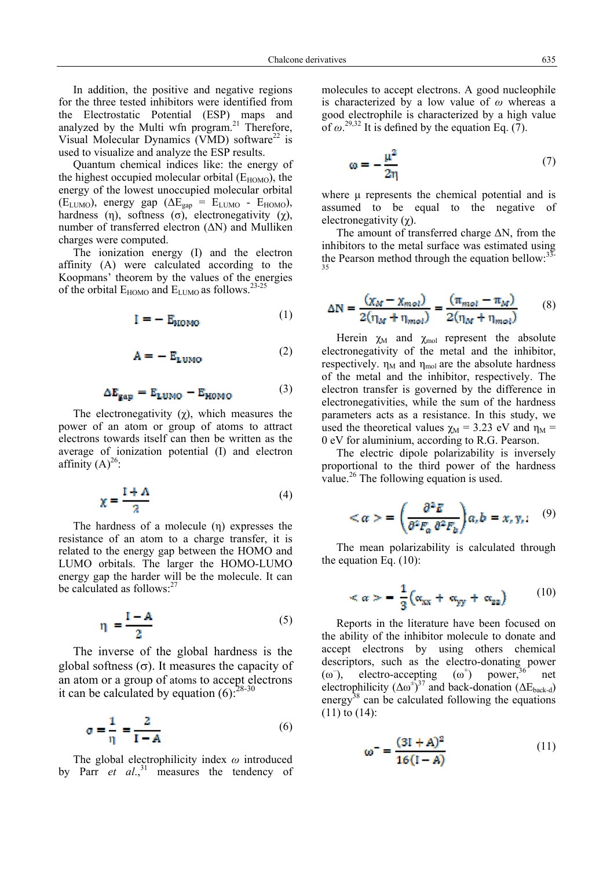In addition, the positive and negative regions for the three tested inhibitors were identified from the Electrostatic Potential (ESP) maps and analyzed by the Multi wfn program.<sup>21</sup> Therefore, Visual Molecular Dynamics (VMD) software<sup>22</sup> is used to visualize and analyze the ESP results.

Quantum chemical indices like: the energy of the highest occupied molecular orbital  $(E_{HOMO})$ , the energy of the lowest unoccupied molecular orbital  $(E_{LUMO})$ , energy gap  $(\Delta E_{gap} = E_{LUMO} - E_{HOMO})$ , hardness (η), softness (σ), electronegativity (χ), number of transferred electron  $(ΔN)$  and Mulliken charges were computed.

The ionization energy (I) and the electron affinity (A) were calculated according to the Koopmans' theorem by the values of the energies of the orbital  $E_{HOMO}$  and  $E_{LUMO}$  as follows.<sup>23-25</sup>

$$
I = - E_{\text{HOMO}} \tag{1}
$$

$$
A = - E_{LUMO} \tag{2}
$$

$$
\Delta E_{\text{gap}} = E_{\text{LUMO}} - E_{\text{HOMO}} \tag{3}
$$

The electronegativity  $(\chi)$ , which measures the power of an atom or group of atoms to attract electrons towards itself can then be written as the average of ionization potential (I) and electron affinity  $(A)^{26}$ :

$$
\chi = \frac{I + A}{2} \tag{4}
$$

The hardness of a molecule (η) expresses the resistance of an atom to a charge transfer, it is related to the energy gap between the HOMO and LUMO orbitals. The larger the HOMO-LUMO energy gap the harder will be the molecule. It can be calculated as follows:<sup>27</sup>

$$
\eta = \frac{I - A}{2} \tag{5}
$$

The inverse of the global hardness is the global softness (σ). It measures the capacity of an atom or a group of atoms to accept electrons it can be calculated by equation  $(6)$ :  $28-30$ 

$$
\sigma = \frac{1}{\eta} = \frac{2}{I - A} \tag{6}
$$

The global electrophilicity index *ω* introduced by Parr *et al.*<sup>31</sup> measures the tendency of molecules to accept electrons. A good nucleophile is characterized by a low value of *ω* whereas a good electrophile is characterized by a high value of  $\omega^{29,32}$  It is defined by the equation Eq. (7).

$$
\omega = -\frac{\mu^2}{2n} \tag{7}
$$

where μ represents the chemical potential and is assumed to be equal to the negative of electronegativity (χ).

The amount of transferred charge ΔN, from the inhibitors to the metal surface was estimated using the Pearson method through the equation bellow: $33-$ 35

$$
\Delta N = \frac{(\chi_M - \chi_{mol})}{2(\eta_M + \eta_{mol})} = \frac{(\pi_{mol} - \pi_M)}{2(\eta_M + \eta_{mol})}
$$
(8)

Herein  $\chi_M$  and  $\chi_{mol}$  represent the absolute electronegativity of the metal and the inhibitor, respectively.  $\eta_M$  and  $\eta_{mol}$  are the absolute hardness of the metal and the inhibitor, respectively. The electron transfer is governed by the difference in electronegativities, while the sum of the hardness parameters acts as a resistance. In this study, we used the theoretical values  $\gamma_M = 3.23$  eV and  $\eta_M =$ 0 eV for aluminium, according to R.G. Pearson.

The electric dipole polarizability is inversely proportional to the third power of the hardness value.<sup>26</sup> The following equation is used.

$$
\langle \alpha \rangle = \left( \frac{\partial^2 \vec{E}}{\partial^2 F_a \, \partial^2 F_b} \right) a_t b = x_t y_t; \quad (9)
$$

The mean polarizability is calculated through the equation Eq. (10):

$$
\langle \alpha \rangle = \frac{1}{3} \Big( \alpha_{xx} + \alpha_{yy} + \alpha_{zz} \Big) \tag{10}
$$

Reports in the literature have been focused on the ability of the inhibitor molecule to donate and accept electrons by using others chemical descriptors, such as the electro-donating power  $(\omega^-)$ . electro-accepting  $(\omega^+)$ power,<sup>36</sup> net electrophilicity  $(\Delta \omega^2)^{37}$  and back-donation  $(\Delta E_{\text{back-d}})$ energy<sup>38</sup> can be calculated following the equations (11) to (14):

$$
\omega^{-} = \frac{(3I + A)^2}{16(I - A)}
$$
(11)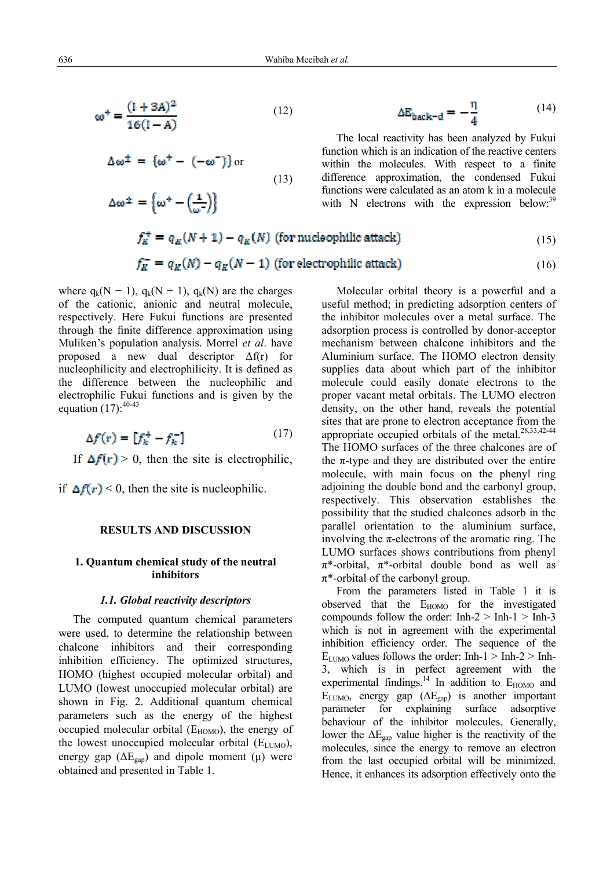(13)

$$
\omega^+ = \frac{(1 + 3A)^2}{16(1 - A)}
$$
(12)

$$
\Delta \omega^{\pm} = {\omega^+ - (-\omega^-)} \text{ or }
$$

 $\Delta \omega^{\pm} = \left\{ \omega^+ - \left( \frac{1}{\omega^-} \right) \right\}$ 

$$
\Delta E_{\text{back-d}} = -\frac{\eta}{4} \tag{14}
$$

(16)

The local reactivity has been analyzed by Fukui function which is an indication of the reactive centers within the molecules. With respect to a finite difference approximation, the condensed Fukui functions were calculated as an atom k in a molecule with N electrons with the expression below: $39$ 

$$
f_K^+ = q_K(N+1) - q_K(N)
$$
 (for nucleophilic attack) (15)

$$
f_K^- = q_K(N) - q_K(N-1)
$$
 (for electric) attack) (6.10)

where  $q_k(N - 1)$ ,  $q_k(N + 1)$ ,  $q_k(N)$  are the charges of the cationic, anionic and neutral molecule, respectively. Here Fukui functions are presented through the finite difference approximation using Muliken's population analysis. Morrel *et al*. have proposed a new dual descriptor  $\Delta f(r)$  for nucleophilicity and electrophilicity. It is defined as the difference between the nucleophilic and electrophilic Fukui functions and is given by the equation  $(17)$ :  $40-43$ 

J

$$
\Delta f(r) = \left[ f_k^+ - f_k^- \right] \tag{17}
$$

If  $\Delta f(r) > 0$ , then the site is electrophilic,

if  $\Delta f(r)$  < 0, then the site is nucleophilic.

#### **RESULTS AND DISCUSSION**

#### **1. Quantum chemical study of the neutral inhibitors**

#### *1.1. Global reactivity descriptors*

The computed quantum chemical parameters were used, to determine the relationship between chalcone inhibitors and their corresponding inhibition efficiency. The optimized structures, HOMO (highest occupied molecular orbital) and LUMO (lowest unoccupied molecular orbital) are shown in Fig. 2. Additional quantum chemical parameters such as the energy of the highest occupied molecular orbital  $(E_{HOMO})$ , the energy of the lowest unoccupied molecular orbital  $(E_{LUMO})$ , energy gap  $(\Delta E_{\text{gap}})$  and dipole moment (μ) were obtained and presented in Table 1.

Molecular orbital theory is a powerful and a useful method; in predicting adsorption centers of the inhibitor molecules over a metal surface. The adsorption process is controlled by donor-acceptor mechanism between chalcone inhibitors and the Aluminium surface. The HOMO electron density supplies data about which part of the inhibitor molecule could easily donate electrons to the proper vacant metal orbitals. The LUMO electron density, on the other hand, reveals the potential sites that are prone to electron acceptance from the appropriate occupied orbitals of the metal.<sup>28,33,42-44</sup> The HOMO surfaces of the three chalcones are of the  $\pi$ -type and they are distributed over the entire molecule, with main focus on the phenyl ring adjoining the double bond and the carbonyl group, respectively. This observation establishes the possibility that the studied chalcones adsorb in the parallel orientation to the aluminium surface, involving the  $\pi$ -electrons of the aromatic ring. The LUMO surfaces shows contributions from phenyl  $\pi^*$ -orbital,  $\pi^*$ -orbital double bond as well as  $\pi^*$ -orbital of the carbonyl group.

From the parameters listed in Table 1 it is observed that the  $E_{HOMO}$  for the investigated compounds follow the order:  $Inh-2 > Inh-1 > Inh-3$ which is not in agreement with the experimental inhibition efficiency order. The sequence of the  $E_{LUMO}$  values follows the order: Inh-1 > Inh-2 > Inh-3, which is in perfect agreement with the experimental findings.<sup>14</sup> In addition to  $E_{HOMO}$  and  $E_{LUMO}$ , energy gap  $(\Delta E_{\text{gap}})$  is another important parameter for explaining surface adsorptive behaviour of the inhibitor molecules. Generally, lower the  $\Delta E_{\text{gap}}$  value higher is the reactivity of the molecules, since the energy to remove an electron from the last occupied orbital will be minimized. Hence, it enhances its adsorption effectively onto the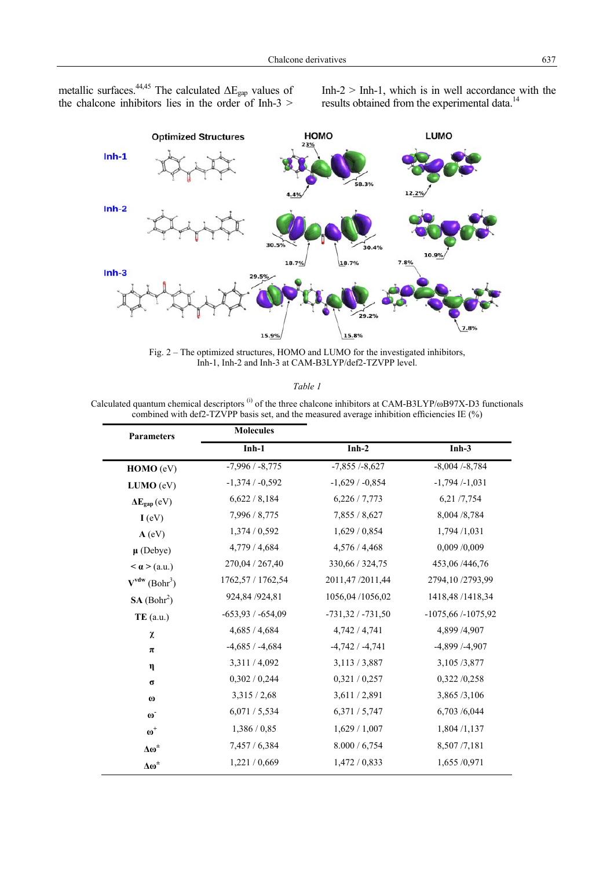metallic surfaces.<sup>44,45</sup> The calculated  $\Delta E_{\text{gap}}$  values of the chalcone inhibitors lies in the order of Inh-3 >  $Inh-2$  > Inh-1, which is in well accordance with the results obtained from the experimental data.<sup>14</sup>



Fig. 2 – The optimized structures, HOMO and LUMO for the investigated inhibitors, Inh-1, Inh-2 and Inh-3 at CAM-B3LYP/def2-TZVPP level.

*Table 1* 

Calculated quantum chemical descriptors<sup>(i)</sup> of the three chalcone inhibitors at CAM-B3LYP/ωB97X-D3 functionals combined with def2-TZVPP basis set, and the measured average inhibition efficiencies IE  $(\%$ )

| <b>Parameters</b>                   | <b>Molecules</b>    |                    |                      |
|-------------------------------------|---------------------|--------------------|----------------------|
|                                     | $Inh-1$             | $Inh-2$            | $Inh-3$              |
| HOMO (eV)                           | $-7,996/ -8,775$    | $-7,855/ -8,627$   | $-8,004/ -8,784$     |
| LUMO (eV)                           | $-1,374/ -0,592$    | $-1,629/ -0,854$   | $-1,794/ -1,031$     |
| $\Delta E_{\text{gap}}$ (eV)        | 6,622/8,184         | 6,226/7,773        | 6,21/7,754           |
| I (eV)                              | 7,996 / 8,775       | 7,855 / 8,627      | 8,004 /8,784         |
| A (eV)                              | 1,374 / 0,592       | 1,629/0,854        | 1,794 /1,031         |
| $\mu$ (Debye)                       | 4,779 / 4,684       | 4,576 / 4,468      | 0,009 /0,009         |
| $\langle \mathbf{a} \rangle$ (a.u.) | 270,04 / 267,40     | 330,66 / 324,75    | 453,06/446,76        |
| $V^{vdw}$ (Bohr <sup>3</sup> )      | 1762,57 / 1762,54   | 2011,47/2011,44    | 2794,10/2793,99      |
| SA (Bohr <sup>2</sup> )             | 924,84 / 924,81     | 1056,04/1056,02    | 1418,48/1418,34      |
| $TE($ a.u.)                         | $-653,93 / -654,09$ | $-731,32/ -731,50$ | $-1075,66/ -1075,92$ |
| χ                                   | 4,685 / 4,684       | 4,742/4,741        | 4,899 /4,907         |
| π                                   | $-4,685/ -4,684$    | $-4,742/ -4,741$   | $-4,899/ -4,907$     |
| η                                   | 3,311/4,092         | 3,113/3,887        | 3,105/3,877          |
| $\sigma$                            | 0,302/0,244         | 0,321/0,257        | 0,322/0,258          |
| $\boldsymbol{\omega}$               | 3,315/2,68          | 3,611/2,891        | 3,865/3,106          |
| $\omega$ <sup>-</sup>               | 6,071/5,534         | 6,371/5,747        | 6,703 /6,044         |
| $\omega^+$                          | 1,386/0,85          | 1,629/1,007        | 1,804/1,137          |
| Δω <sup>±</sup>                     | 7,457 / 6,384       | 8.000 / 6,754      | 8,507/7,181          |
| Δω <sup>±</sup>                     | 1,221/0,669         | 1,472/0,833        | 1,655 /0,971         |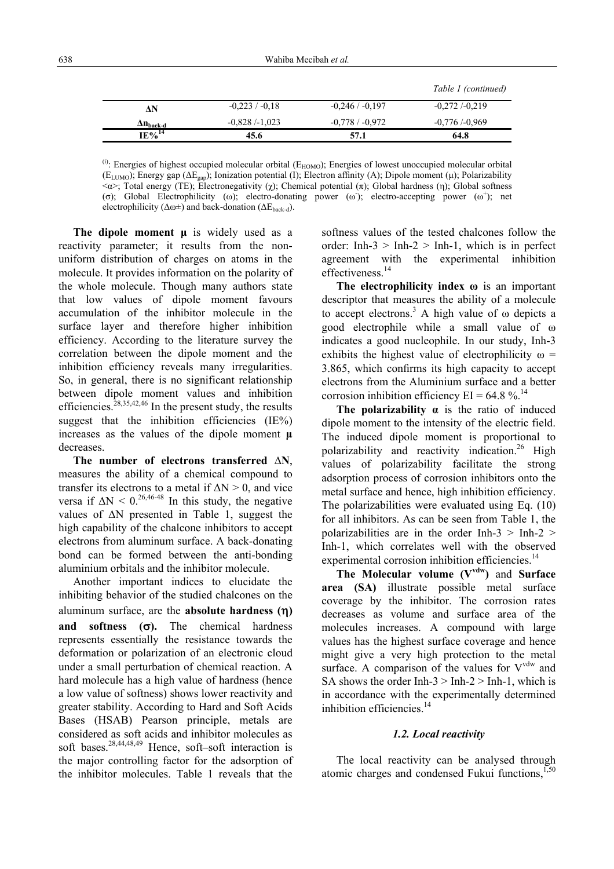|                         |                 |                  | Table 1 (continued) |
|-------------------------|-----------------|------------------|---------------------|
| ٨N                      | $-0.223/ -0.18$ | $-0,246/ -0,197$ | $-0.272/-0.219$     |
| $\Delta n_{\rm back-d}$ | $-0.828/-1.023$ | $-0.778/ -0.972$ | $-0,776/0,969$      |
| $IE\%^{14}$             | 45.6            | 57.1             | 64.8                |

 $^{(i)}$ : Energies of highest occupied molecular orbital ( $E_{HOMO}$ ); Energies of lowest unoccupied molecular orbital (E<sub>LUMO</sub>); Energy gap ( $\Delta E_{\text{gap}}$ ); Ionization potential (I); Electron affinity (A); Dipole moment (μ); Polarizability  $\langle \alpha \rangle$ ; Total energy (TE); Electronegativity (χ); Chemical potential (π); Global hardness (η); Global softness (σ); Global Electrophilicity (ω); electro-donating power (ω); electro-accepting power ( $\omega^+$ ); net electrophilicity ( $\Delta \omega \pm$ ) and back-donation ( $\Delta E_{\text{back-d}}$ ).

**The dipole moment μ** is widely used as a reactivity parameter; it results from the nonuniform distribution of charges on atoms in the molecule. It provides information on the polarity of the whole molecule. Though many authors state that low values of dipole moment favours accumulation of the inhibitor molecule in the surface layer and therefore higher inhibition efficiency. According to the literature survey the correlation between the dipole moment and the inhibition efficiency reveals many irregularities. So, in general, there is no significant relationship between dipole moment values and inhibition efficiencies.<sup>28,35,42,46</sup> In the present study, the results suggest that the inhibition efficiencies (IE%) increases as the values of the dipole moment **μ** decreases.

**The number of electrons transferred ∆N**, measures the ability of a chemical compound to transfer its electrons to a metal if  $\Delta N > 0$ , and vice versa if  $\Delta N \leq 0^{26,46-48}$  In this study, the negative values of ΔN presented in Table 1, suggest the high capability of the chalcone inhibitors to accept electrons from aluminum surface. A back-donating bond can be formed between the anti-bonding aluminium orbitals and the inhibitor molecule.

Another important indices to elucidate the inhibiting behavior of the studied chalcones on the aluminum surface, are the **absolute hardness (**η**) and softness (**σ**).** The chemical hardness represents essentially the resistance towards the deformation or polarization of an electronic cloud under a small perturbation of chemical reaction. A hard molecule has a high value of hardness (hence a low value of softness) shows lower reactivity and greater stability. According to Hard and Soft Acids Bases (HSAB) Pearson principle, metals are considered as soft acids and inhibitor molecules as soft bases.<sup>28,44,48,49</sup> Hence, soft–soft interaction is the major controlling factor for the adsorption of the inhibitor molecules. Table 1 reveals that the

softness values of the tested chalcones follow the order: Inh- $3 >$  Inh- $2 >$  Inh-1, which is in perfect agreement with the experimental inhibition effectiveness.<sup>14</sup>

**The electrophilicity index ω** is an important descriptor that measures the ability of a molecule to accept electrons.<sup>3</sup> A high value of  $\omega$  depicts a good electrophile while a small value of ω indicates a good nucleophile. In our study, Inh-3 exhibits the highest value of electrophilicity  $\omega$  = 3.865, which confirms its high capacity to accept electrons from the Aluminium surface and a better corrosion inhibition efficiency  $EI = 64.8 \%$ .<sup>14</sup>

**The polarizability**  $\alpha$  is the ratio of induced dipole moment to the intensity of the electric field. The induced dipole moment is proportional to polarizability and reactivity indication.<sup>26</sup> High values of polarizability facilitate the strong adsorption process of corrosion inhibitors onto the metal surface and hence, high inhibition efficiency. The polarizabilities were evaluated using Eq. (10) for all inhibitors. As can be seen from Table 1, the polarizabilities are in the order Inh- $3 >$  Inh- $2 >$ Inh-1, which correlates well with the observed experimental corrosion inhibition efficiencies.<sup>14</sup>

**The Molecular volume (Vvdw)** and **Surface area (SA)** illustrate possible metal surface coverage by the inhibitor. The corrosion rates decreases as volume and surface area of the molecules increases. A compound with large values has the highest surface coverage and hence might give a very high protection to the metal surface. A comparison of the values for  $V^{vdw}$  and SA shows the order Inh- $3 >$  Inh- $2 >$  Inh-1, which is in accordance with the experimentally determined inhibition efficiencies.<sup>14</sup>

#### *1.2. Local reactivity*

The local reactivity can be analysed through atomic charges and condensed Fukui functions, $1,50$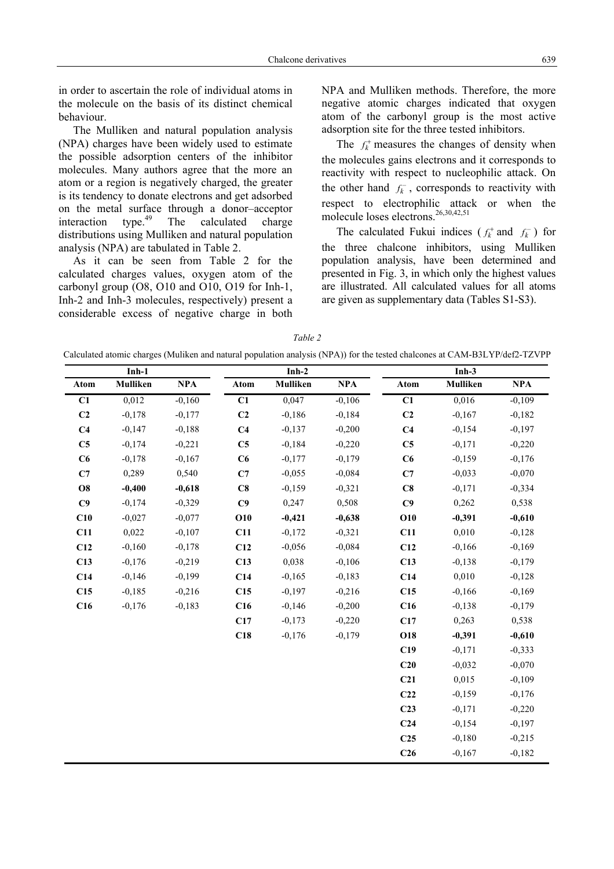The Mulliken and natural population analysis (NPA) charges have been widely used to estimate the possible adsorption centers of the inhibitor molecules. Many authors agree that the more an atom or a region is negatively charged, the greater is its tendency to donate electrons and get adsorbed on the metal surface through a donor-acceptor interaction  $\mu^{49}$  The calculated charge interaction type.<sup> $49$ </sup> The calculated charge distributions using Mulliken and natural population analysis (NPA) are tabulated in Table 2.

As it can be seen from Table 2 for the calculated charges values, oxygen atom of the carbonyl group (O8, O10 and O10, O19 for Inh-1, Inh-2 and Inh-3 molecules, respectively) present a considerable excess of negative charge in both NPA and Mulliken methods. Therefore, the more negative atomic charges indicated that oxygen atom of the carbonyl group is the most active adsorption site for the three tested inhibitors.

The  $f_k^+$  measures the changes of density when the molecules gains electrons and it corresponds to reactivity with respect to nucleophilic attack. On the other hand  $f_k^-$ , corresponds to reactivity with respect to electrophilic attack or when the molecule loses electrons.<sup>26,30,42,51</sup>

The calculated Fukui indices  $(f_k^+ \text{ and } f_k^-)$  for the three chalcone inhibitors, using Mulliken population analysis, have been determined and presented in Fig. 3, in which only the highest values are illustrated. All calculated values for all atoms are given as supplementary data (Tables S1-S3).

*Table 2* 

Calculated atomic charges (Muliken and natural population analysis (NPA)) for the tested chalcones at CAM-B3LYP/def2-TZVPP

|                | $Inh-1$  |            |                 | $Inh-2$  |            |                 | $Inh-3$  |          |
|----------------|----------|------------|-----------------|----------|------------|-----------------|----------|----------|
| Atom           | Mulliken | <b>NPA</b> | Atom            | Mulliken | <b>NPA</b> | Atom            | Mulliken | NPA      |
| C1             | 0,012    | $-0,160$   | $\overline{C1}$ | 0,047    | $-0,106$   | $\overline{C1}$ | 0,016    | $-0,109$ |
| C <sub>2</sub> | $-0,178$ | $-0,177$   | C <sub>2</sub>  | $-0,186$ | $-0,184$   | C <sub>2</sub>  | $-0,167$ | $-0,182$ |
| C <sub>4</sub> | $-0,147$ | $-0,188$   | C <sub>4</sub>  | $-0,137$ | $-0,200$   | C <sub>4</sub>  | $-0,154$ | $-0,197$ |
| C <sub>5</sub> | $-0,174$ | $-0,221$   | C5              | $-0,184$ | $-0,220$   | C <sub>5</sub>  | $-0,171$ | $-0,220$ |
| C6             | $-0,178$ | $-0,167$   | C6              | $-0,177$ | $-0,179$   | C6              | $-0,159$ | $-0,176$ |
| C7             | 0,289    | 0,540      | C7              | $-0,055$ | $-0,084$   | C7              | $-0,033$ | $-0,070$ |
| <b>O8</b>      | $-0,400$ | $-0,618$   | C8              | $-0,159$ | $-0,321$   | C8              | $-0,171$ | $-0,334$ |
| C9             | $-0,174$ | $-0,329$   | C9              | 0,247    | 0,508      | C9              | 0,262    | 0,538    |
| C10            | $-0,027$ | $-0,077$   | <b>O10</b>      | $-0,421$ | $-0,638$   | <b>O10</b>      | $-0,391$ | $-0,610$ |
| C11            | 0,022    | $-0,107$   | C11             | $-0,172$ | $-0,321$   | C11             | 0,010    | $-0,128$ |
| C12            | $-0,160$ | $-0,178$   | C12             | $-0,056$ | $-0,084$   | C12             | $-0,166$ | $-0,169$ |
| C13            | $-0,176$ | $-0,219$   | C13             | 0,038    | $-0,106$   | C13             | $-0,138$ | $-0,179$ |
| C14            | $-0,146$ | $-0,199$   | C14             | $-0,165$ | $-0,183$   | C14             | 0,010    | $-0,128$ |
| C15            | $-0,185$ | $-0,216$   | C15             | $-0,197$ | $-0,216$   | C15             | $-0,166$ | $-0,169$ |
| C16            | $-0,176$ | $-0,183$   | C16             | $-0,146$ | $-0,200$   | C16             | $-0,138$ | $-0,179$ |
|                |          |            | C17             | $-0,173$ | $-0,220$   | C17             | 0,263    | 0,538    |
|                |          |            | C18             | $-0,176$ | $-0,179$   | <b>O18</b>      | $-0,391$ | $-0,610$ |
|                |          |            |                 |          |            | C19             | $-0,171$ | $-0,333$ |
|                |          |            |                 |          |            | C20             | $-0,032$ | $-0,070$ |
|                |          |            |                 |          |            | C <sub>21</sub> | 0,015    | $-0,109$ |
|                |          |            |                 |          |            | C <sub>22</sub> | $-0,159$ | $-0,176$ |
|                |          |            |                 |          |            | C <sub>23</sub> | $-0,171$ | $-0,220$ |
|                |          |            |                 |          |            | C <sub>24</sub> | $-0,154$ | $-0,197$ |
|                |          |            |                 |          |            | C <sub>25</sub> | $-0,180$ | $-0,215$ |
|                |          |            |                 |          |            | C <sub>26</sub> | $-0,167$ | $-0,182$ |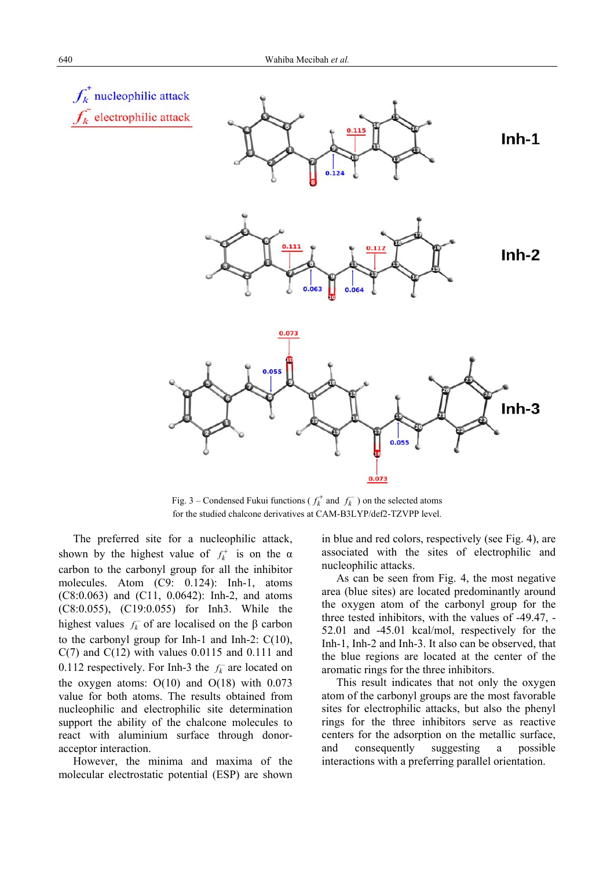

Fig. 3 – Condensed Fukui functions ( $f_k^+$  and  $f_k^-$ ) on the selected atoms for the studied chalcone derivatives at CAM-B3LYP/def2-TZVPP level.

The preferred site for a nucleophilic attack, shown by the highest value of  $f_k^+$  is on the  $\alpha$ carbon to the carbonyl group for all the inhibitor molecules. Atom (C9: 0.124): Inh-1, atoms (C8:0.063) and (C11, 0.0642): Inh-2, and atoms (C8:0.055), (C19:0.055) for Inh3. While the highest values  $f_k^-$  of are localised on the β carbon to the carbonyl group for Inh-1 and Inh-2: C(10),  $C(7)$  and  $C(12)$  with values 0.0115 and 0.111 and 0.112 respectively. For Inh-3 the  $f_k^-$  are located on the oxygen atoms:  $O(10)$  and  $O(18)$  with 0.073 value for both atoms. The results obtained from nucleophilic and electrophilic site determination support the ability of the chalcone molecules to react with aluminium surface through donoracceptor interaction.

However, the minima and maxima of the molecular electrostatic potential (ESP) are shown in blue and red colors, respectively (see Fig. 4), are associated with the sites of electrophilic and nucleophilic attacks.

As can be seen from Fig. 4, the most negative area (blue sites) are located predominantly around the oxygen atom of the carbonyl group for the three tested inhibitors, with the values of -49.47, - 52.01 and -45.01 kcal/mol, respectively for the Inh-1, Inh-2 and Inh-3. It also can be observed, that the blue regions are located at the center of the aromatic rings for the three inhibitors.

This result indicates that not only the oxygen atom of the carbonyl groups are the most favorable sites for electrophilic attacks, but also the phenyl rings for the three inhibitors serve as reactive centers for the adsorption on the metallic surface, and consequently suggesting a possible interactions with a preferring parallel orientation.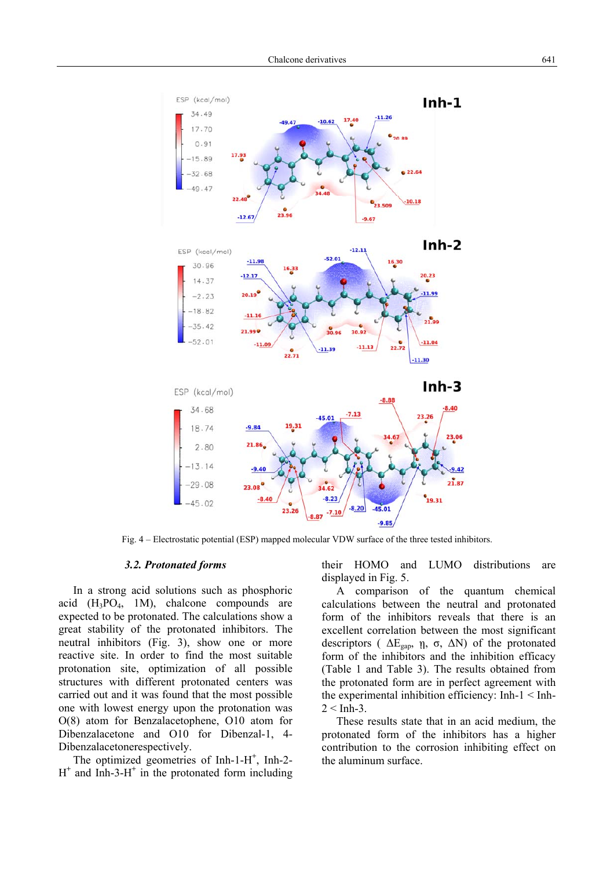

Fig. 4 – Electrostatic potential (ESP) mapped molecular VDW surface of the three tested inhibitors.

#### *3.2. Protonated forms*

In a strong acid solutions such as phosphoric acid  $(H_3PO_4, 1M)$ , chalcone compounds are expected to be protonated. The calculations show a great stability of the protonated inhibitors. The neutral inhibitors (Fig. 3), show one or more reactive site. In order to find the most suitable protonation site, optimization of all possible structures with different protonated centers was carried out and it was found that the most possible one with lowest energy upon the protonation was O(8) atom for Benzalacetophene, O10 atom for Dibenzalacetone and O10 for Dibenzal-1, 4- Dibenzalacetonerespectively.

The optimized geometries of Inh-1-H<sup>+</sup>, Inh-2-H**+** and Inh-3-H**<sup>+</sup>** in the protonated form including their HOMO and LUMO distributions are displayed in Fig. 5.

A comparison of the quantum chemical calculations between the neutral and protonated form of the inhibitors reveals that there is an excellent correlation between the most significant descriptors ( $\Delta E_{\text{gap}}$ ,  $\eta$ ,  $\sigma$ ,  $\Delta N$ ) of the protonated form of the inhibitors and the inhibition efficacy (Table 1 and Table 3). The results obtained from the protonated form are in perfect agreement with the experimental inhibition efficiency: Inh-1 < Inh- $2 <$  Inh-3

These results state that in an acid medium, the protonated form of the inhibitors has a higher contribution to the corrosion inhibiting effect on the aluminum surface.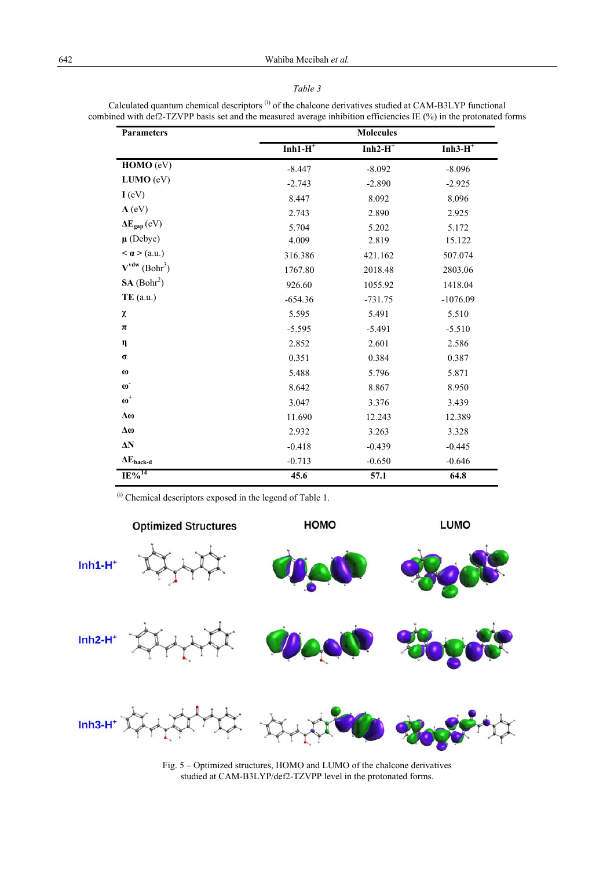#### *Table 3*

| <b>Parameters</b>              | <b>Molecules</b> |            |            |  |  |
|--------------------------------|------------------|------------|------------|--|--|
|                                | $Inh1-H^+$       | $Inh2-H^+$ | $Inh3-H^+$ |  |  |
| HOMO (eV)                      | $-8.447$         | $-8.092$   | $-8.096$   |  |  |
| LUMO (eV)                      | $-2.743$         | $-2.890$   | $-2.925$   |  |  |
| I (eV)                         | 8.447            | 8.092      | 8.096      |  |  |
| $A$ (eV)                       | 2.743            | 2.890      | 2.925      |  |  |
| $\Delta E_{\text{gap}}(eV)$    | 5.704            | 5.202      | 5.172      |  |  |
| $\mu$ (Debye)                  | 4.009            | 2.819      | 15.122     |  |  |
| $< \alpha > (a.u.)$            | 316.386          | 421.162    | 507.074    |  |  |
| $V^{vdw}$ (Bohr <sup>3</sup> ) | 1767.80          | 2018.48    | 2803.06    |  |  |
| SA (Bohr <sup>2</sup> )        | 926.60           | 1055.92    | 1418.04    |  |  |
| $TE$ (a.u.)                    | $-654.36$        | $-731.75$  | $-1076.09$ |  |  |
| χ                              | 5.595            | 5.491      | 5.510      |  |  |
| $\pi$                          | $-5.595$         | $-5.491$   | $-5.510$   |  |  |
| η                              | 2.852            | 2.601      | 2.586      |  |  |
| $\sigma$                       | 0.351            | 0.384      | 0.387      |  |  |
| $\boldsymbol{\omega}$          | 5.488            | 5.796      | 5.871      |  |  |
| $\omega$ <sup>-</sup>          | 8.642            | 8.867      | 8.950      |  |  |
| $\boldsymbol{\omega}^+$        | 3.047            | 3.376      | 3.439      |  |  |
| $\Delta\omega$                 | 11.690           | 12.243     | 12.389     |  |  |
| Δω                             | 2.932            | 3.263      | 3.328      |  |  |
| $\Delta N$                     | $-0.418$         | $-0.439$   | $-0.445$   |  |  |
| $\Delta E_{\text{back-d}}$     | $-0.713$         | $-0.650$   | $-0.646$   |  |  |
| $IE\%$ <sup>14</sup>           | 45.6             | 57.1       | 64.8       |  |  |

Calculated quantum chemical descriptors (i) of the chalcone derivatives studied at CAM-B3LYP functional combined with def2-TZVPP basis set and the measured average inhibition efficiencies IE (%) in the protonated forms

(i) Chemical descriptors exposed in the legend of Table 1.



Fig. 5 – Optimized structures, HOMO and LUMO of the chalcone derivatives studied at CAM-B3LYP/def2-TZVPP level in the protonated forms.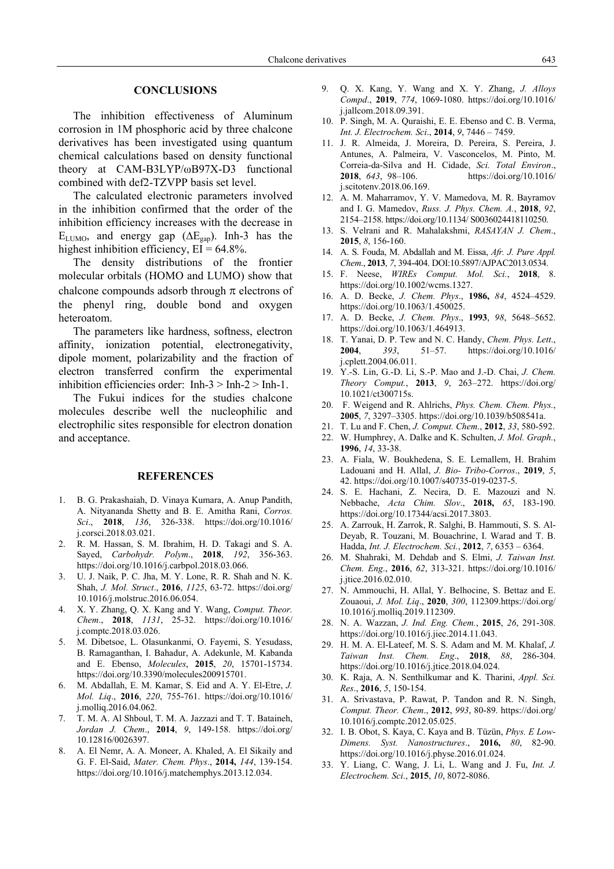#### **CONCLUSIONS**

The inhibition effectiveness of Aluminum corrosion in 1M phosphoric acid by three chalcone derivatives has been investigated using quantum chemical calculations based on density functional theory at CAM-B3LYP/ωB97X-D3 functional combined with def2-TZVPP basis set level.

The calculated electronic parameters involved in the inhibition confirmed that the order of the inhibition efficiency increases with the decrease in ELUMO, and energy gap  $(\Delta E_{\text{gap}})$ . Inh-3 has the highest inhibition efficiency,  $EI = 64.8\%$ .

The density distributions of the frontier molecular orbitals (HOMO and LUMO) show that chalcone compounds adsorb through  $\pi$  electrons of the phenyl ring, double bond and oxygen heteroatom.

The parameters like hardness, softness, electron affinity, ionization potential, electronegativity, dipole moment, polarizability and the fraction of electron transferred confirm the experimental inhibition efficiencies order: Inh- $3 >$  Inh- $2 >$  Inh-1.

The Fukui indices for the studies chalcone molecules describe well the nucleophilic and electrophilic sites responsible for electron donation and acceptance.

#### **REFERENCES**

- 1. B. G. Prakashaiah, D. Vinaya Kumara, A. Anup Pandith, A. Nityananda Shetty and B. E. Amitha Rani, *Corros. Sci*., **2018**, *136*, 326-338. https://doi.org/10.1016/ j.corsci.2018.03.021.
- 2. R. M. Hassan, S. M. Ibrahim, H. D. Takagi and S. A. Sayed, *Carbohydr. Polym*., **2018**, *192*, 356-363. https://doi.org/10.1016/j.carbpol.2018.03.066.
- 3. U. J. Naik, P. C. Jha, M. Y. Lone, R. R. Shah and N. K. Shah, *J. Mol. Struct*., **2016**, *1125*, 63-72. https://doi.org/ 10.1016/j.molstruc.2016.06.054.
- 4. X. Y. Zhang, Q. X. Kang and Y. Wang, *Comput. Theor. Chem*., **2018**, *1131*, 25-32. https://doi.org/10.1016/ j.comptc.2018.03.026.
- 5. M. Dibetsoe, L. Olasunkanmi, O. Fayemi, S. Yesudass, B. Ramaganthan, I. Bahadur, A. Adekunle, M. Kabanda and E. Ebenso, *Molecules*, **2015**, *20*, 15701-15734. https://doi.org/10.3390/molecules200915701.
- 6. M. Abdallah, E. M. Kamar, S. Eid and A. Y. El-Etre, *J. Mol. Liq*., **2016**, *220*, 755-761. https://doi.org/10.1016/ j.molliq.2016.04.062.
- 7. T. M. A. Al Shboul, T. M. A. Jazzazi and T. T. Bataineh, *Jordan J. Chem*., **2014**, *9*, 149-158. https://doi.org/ 10.12816/0026397.
- 8. A. El Nemr, A. A. Moneer, A. Khaled, A. El Sikaily and G. F. El-Said, *Mater. Chem. Phys*., **2014,** *144*, 139-154. https://doi.org/10.1016/j.matchemphys.2013.12.034.
- 9. Q. X. Kang, Y. Wang and X. Y. Zhang, *J. Alloys Compd*., **2019**, *774*, 1069-1080. https://doi.org/10.1016/ j.jallcom.2018.09.391.
- 10. P. Singh, M. A. Quraishi, E. E. Ebenso and C. B. Verma, *Int. J. Electrochem. Sci*., **2014**, *9*, 7446 – 7459.
- 11. J. R. Almeida, J. Moreira, D. Pereira, S. Pereira, J. Antunes, A. Palmeira, V. Vasconcelos, M. Pinto, M. Correia-da-Silva and H. Cidade, *Sci. Total Environ*., **2018**, *643*, 98–106. https://doi.org/10.1016/ j.scitotenv.2018.06.169.
- 12. A. M. Maharramov, Y. V. Mamedova, M. R. Bayramov and I. G. Mamedov, *Russ. J. Phys. Chem. A.*, **2018**, *92*, 2154–2158. https://doi.org/10.1134/ S0036024418110250.
- 13. S. Velrani and R. Mahalakshmi, *RASAYAN J. Chem*., **2015**, *8*, 156-160.
- 14. A. S. Fouda, M. Abdallah and M. Eissa, *Afr. J. Pure Appl. Chem*., **2013**, *7*, 394-404. DOI:10.5897/AJPAC2013.0534.
- 15. F. Neese, *WIREs Comput. Mol. Sci.*, **2018**, 8. https://doi.org/10.1002/wcms.1327.
- 16. A. D. Becke, *J. Chem. Phys*., **1986,** *84*, 4524–4529. https://doi.org/10.1063/1.450025.
- 17. A. D. Becke, *J. Chem. Phys*., **1993**, *98*, 5648–5652. https://doi.org/10.1063/1.464913.
- 18. T. Yanai, D. P. Tew and N. C. Handy, *Chem. Phys. Lett*., **2004**, *393*, 51–57. https://doi.org/10.1016/ j.cplett.2004.06.011.
- 19. Y.-S. Lin, G.-D. Li, S.-P. Mao and J.-D. Chai, *J. Chem. Theory Comput.*, **2013**, *9*, 263–272. https://doi.org/ 10.1021/ct300715s.
- 20. F. Weigend and R. Ahlrichs, *Phys. Chem. Chem. Phys.*, **2005**, *7*, 3297–3305. https://doi.org/10.1039/b508541a.
- 21. T. Lu and F. Chen, *J. Comput. Chem*., **2012**, *33*, 580-592.
- 22. W. Humphrey, A. Dalke and K. Schulten, *J. Mol. Graph.*, **1996**, *14*, 33-38.
- 23. A. Fiala, W. Boukhedena, S. E. Lemallem, H. Brahim Ladouani and H. Allal, *J. Bio- Tribo-Corros*., **2019**, *5*, 42. https://doi.org/10.1007/s40735-019-0237-5.
- 24. S. E. Hachani, Z. Necira, D. E. Mazouzi and N. Nebbache, *Acta Chim. Slov*., **2018,** *65*, 183-190. https://doi.org/10.17344/acsi.2017.3803.
- 25. A. Zarrouk, H. Zarrok, R. Salghi, B. Hammouti, S. S. Al-Deyab, R. Touzani, M. Bouachrine, I. Warad and T. B. Hadda, *Int. J. Electrochem. Sci.*, **2012**, *7*, 6353 – 6364.
- 26. M. Shahraki, M. Dehdab and S. Elmi, *J. Taiwan Inst. Chem. Eng*., **2016**, *62*, 313-321. https://doi.org/10.1016/ j.jtice.2016.02.010.
- 27. N. Ammouchi, H. Allal, Y. Belhocine, S. Bettaz and E. Zouaoui, *J. Mol. Liq*., **2020**, *300*, 112309.https://doi.org/ 10.1016/j.molliq.2019.112309.
- 28. N. A. Wazzan, *J. Ind. Eng. Chem.*, **2015**, *26*, 291-308. https://doi.org/10.1016/j.jiec.2014.11.043.
- 29. H. M. A. El-Lateef, M. S. S. Adam and M. M. Khalaf, *J. Taiwan Inst. Chem. Eng*., **2018**, *88*, 286-304. https://doi.org/10.1016/j.jtice.2018.04.024.
- 30. K. Raja, A. N. Senthilkumar and K. Tharini, *Appl. Sci. Res*., **2016**, *5*, 150-154.
- 31. A. Srivastava, P. Rawat, P. Tandon and R. N. Singh, *Comput. Theor. Chem*., **2012**, *993*, 80-89. https://doi.org/ 10.1016/j.comptc.2012.05.025.
- 32. I. B. Obot, S. Kaya, C. Kaya and B. Tüzün, *Phys. E Low-Dimens. Syst. Nanostructures*., **2016,** *80*, 82-90. https://doi.org/10.1016/j.physe.2016.01.024.
- 33. Y. Liang, C. Wang, J. Li, L. Wang and J. Fu, *Int. J. Electrochem. Sci*., **2015**, *10*, 8072-8086.